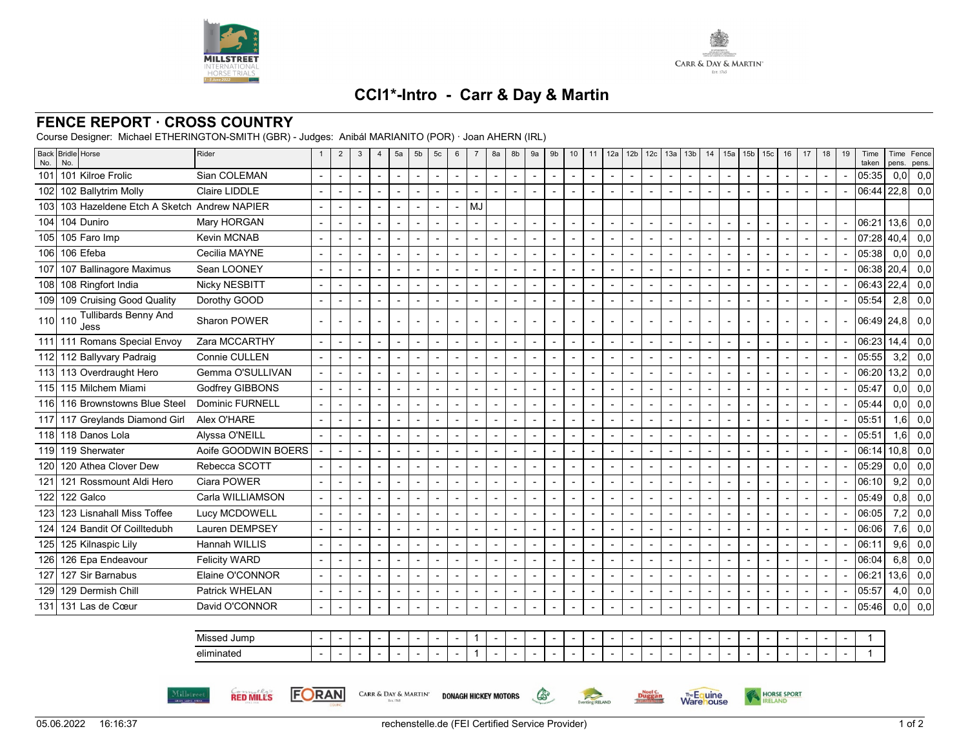



## **CCI1\*-Intro - Carr & Day & Martin**

## **FENCE REPORT · CROSS COUNTRY**

Course Designer: Michael ETHERINGTON-SMITH (GBR) - Judges: Anibál MARIANITO (POR) · Joan AHERN (IRL)

**FORAN** 

**RED MILLS** 

Millstree

| No. | Back Bridle Horse<br>No.                       | Rider                  | -1                       | $\overline{2}$           | 3                        | $\overline{4}$           | 5a                       | 5b                       | 5 <sub>c</sub>           | 6                        | $\overline{7}$           | 8a                       | 8b             | 9a | 9 <sub>b</sub>           | 10                       | 11                       | 12a                      | 12 <sub>b</sub>          | 12c                      | 13a                      | 13 <sub>b</sub>          | 14                       | 15a            | 15 <sub>b</sub>          | 15 <sub>c</sub>          | 16             | 17                       | 18                       | 19 | Time<br>taken | Time<br>pens.    | Fence<br>pens. |
|-----|------------------------------------------------|------------------------|--------------------------|--------------------------|--------------------------|--------------------------|--------------------------|--------------------------|--------------------------|--------------------------|--------------------------|--------------------------|----------------|----|--------------------------|--------------------------|--------------------------|--------------------------|--------------------------|--------------------------|--------------------------|--------------------------|--------------------------|----------------|--------------------------|--------------------------|----------------|--------------------------|--------------------------|----|---------------|------------------|----------------|
| 101 | 101 Kilroe Frolic                              | Sian COLEMAN           |                          |                          |                          | $\overline{\phantom{a}}$ |                          |                          | $\blacksquare$           | $\overline{a}$           | $\blacksquare$           | $\overline{\phantom{a}}$ | ÷,             |    | $\overline{a}$           |                          | $\overline{\phantom{a}}$ |                          |                          | $\overline{\phantom{a}}$ | $\overline{\phantom{a}}$ | $\overline{\phantom{a}}$ | $\sim$                   |                |                          |                          |                |                          |                          |    | 05:35         | 0.0 <sub>l</sub> | 0,0            |
| 102 | 102 Ballytrim Molly                            | Claire LIDDLE          |                          | $\overline{a}$           |                          | $\overline{a}$           |                          | $\overline{a}$           |                          |                          | $\overline{a}$           | $\overline{a}$           |                |    | $\overline{a}$           | $\overline{\phantom{a}}$ | $\overline{a}$           |                          | $\overline{a}$           | $\overline{\phantom{a}}$ | $\overline{\phantom{a}}$ | $\overline{a}$           |                          | $\overline{a}$ |                          | $\overline{a}$           |                | $\overline{a}$           | $\overline{a}$           |    | 06:44         | 22.8             | 0,0            |
|     | 103 103 Hazeldene Etch A Sketch Andrew NAPIER  |                        |                          |                          |                          | $\blacksquare$           | $\blacksquare$           | $\blacksquare$           |                          | $\overline{\phantom{a}}$ | MJ                       |                          |                |    |                          |                          |                          |                          |                          |                          |                          |                          |                          |                |                          |                          |                |                          |                          |    |               |                  |                |
|     | 104 104 Duniro                                 | Mary HORGAN            |                          |                          |                          |                          |                          |                          |                          |                          |                          |                          |                |    |                          |                          | $\blacksquare$           |                          |                          | $\overline{\phantom{a}}$ | $\overline{\phantom{a}}$ | $\overline{a}$           |                          |                |                          |                          |                | $\overline{a}$           |                          |    | 06:21         | 13,6             | 0,0            |
|     | 105 105 Faro Imp                               | Kevin MCNAB            |                          |                          |                          |                          |                          |                          |                          |                          |                          | $\overline{\phantom{a}}$ |                |    |                          |                          |                          |                          |                          |                          |                          |                          |                          |                |                          |                          |                |                          |                          |    | 07:28         | 40,4             | 0,0            |
|     | 106 106 Efeba                                  | Cecilia MAYNE          |                          |                          |                          | $\overline{a}$           |                          | $\overline{a}$           |                          | $\overline{a}$           | $\overline{a}$           | $\sim$                   |                |    | $\overline{a}$           |                          | $\blacksquare$           |                          | $\overline{a}$           | $\overline{a}$           | $\overline{a}$           | $\overline{a}$           |                          |                |                          |                          |                | $\overline{a}$           | $\overline{\phantom{a}}$ |    | 05:38         | 0,0              | 0,0            |
|     | 107 107 Ballinagore Maximus                    | Sean LOONEY            |                          |                          | $\overline{\phantom{a}}$ | $\overline{\phantom{a}}$ | $\sim$                   |                          |                          | $\overline{\phantom{a}}$ | $\overline{a}$           | $\overline{\phantom{a}}$ |                |    | $\overline{\phantom{a}}$ | $\overline{\phantom{a}}$ | $\overline{\phantom{a}}$ | $\blacksquare$           | $\blacksquare$           | $\blacksquare$           | $\blacksquare$           |                          | $\blacksquare$           |                | $\overline{\phantom{a}}$ |                          |                | $\overline{\phantom{a}}$ | $\overline{\phantom{a}}$ |    | 06:38         | 20,4             | 0,0            |
|     | 108 108 Ringfort India                         | Nicky NESBITT          |                          |                          |                          |                          |                          |                          |                          | $\overline{a}$           | $\blacksquare$           | $\overline{\phantom{a}}$ |                |    |                          |                          | ÷                        |                          | $\overline{a}$           |                          | $\overline{\phantom{a}}$ | $\overline{\phantom{a}}$ |                          |                |                          |                          |                |                          |                          |    | 06:43         | 22,4             | 0,0            |
|     | 109 109 Cruising Good Quality                  | Dorothy GOOD           | $\overline{\phantom{a}}$ | $\overline{\phantom{0}}$ |                          | $\blacksquare$           | $\blacksquare$           | $\blacksquare$           |                          | $\overline{\phantom{a}}$ | $\blacksquare$           | $\blacksquare$           | ٠              |    | $\overline{\phantom{a}}$ | $\blacksquare$           | $\blacksquare$           | $\blacksquare$           | $\blacksquare$           | $\blacksquare$           | $\blacksquare$           | $\blacksquare$           |                          | $\overline{a}$ |                          | $\blacksquare$           | $\blacksquare$ |                          | $\blacksquare$           |    | 05:54         | 2,8              | 0,0            |
|     | <b>Tullibards Benny And</b><br>110 110<br>Jess | Sharon POWER           | $\blacksquare$           |                          |                          | $\blacksquare$           | $\sim$                   |                          |                          |                          | $\blacksquare$           | $\blacksquare$           |                |    | $\blacksquare$           |                          | $\blacksquare$           |                          |                          | $\blacksquare$           | $\blacksquare$           | $\blacksquare$           |                          |                | $\blacksquare$           |                          |                |                          |                          |    | 06:49 24.8    |                  | 0,0            |
|     | 111 111 Romans Special Envoy                   | Zara MCCARTHY          | $\overline{a}$           | L,                       |                          | $\overline{a}$           | $\sim$                   |                          | $\blacksquare$           | $\overline{a}$           | $\overline{a}$           | $\blacksquare$           | $\overline{a}$ |    | $\blacksquare$           |                          | $\blacksquare$           | $\blacksquare$           | $\blacksquare$           | $\blacksquare$           | $\blacksquare$           | $\blacksquare$           |                          |                | $\blacksquare$           | $\blacksquare$           | $\blacksquare$ | $\overline{a}$           | $\blacksquare$           |    | 06:23         | 14.4             | 0,0            |
|     | 112 112 Ballyvary Padraig                      | Connie CULLEN          |                          | $\blacksquare$           |                          | $\blacksquare$           | $\sim$                   | $\blacksquare$           |                          | $\overline{a}$           | $\overline{a}$           | $\overline{\phantom{a}}$ | $\blacksquare$ |    | $\blacksquare$           | $\blacksquare$           | $\sim$                   | $\overline{\phantom{a}}$ | $\overline{a}$           | $\blacksquare$           | $\blacksquare$           | $\overline{a}$           | $\overline{\phantom{a}}$ |                | $\overline{\phantom{a}}$ |                          | $\overline{a}$ | $\overline{a}$           | $\blacksquare$           |    | 05:55         | 3,2              | 0,0            |
|     | 113 113 Overdraught Hero                       | Gemma O'SULLIVAN       |                          |                          |                          |                          |                          |                          |                          | $\overline{a}$           | $\overline{\phantom{0}}$ | $\blacksquare$           |                |    | $\overline{\phantom{a}}$ |                          | $\overline{\phantom{a}}$ |                          |                          | $\overline{\phantom{a}}$ | $\blacksquare$           |                          |                          |                |                          |                          |                | $\overline{\phantom{a}}$ | $\overline{\phantom{a}}$ |    | 06:20         | 13,2             | 0,0            |
|     | 115 115 Milchem Miami                          | Godfrey GIBBONS        |                          |                          |                          |                          |                          |                          |                          |                          | $\overline{a}$           | $\blacksquare$           |                |    |                          |                          |                          |                          |                          |                          |                          |                          |                          |                |                          |                          |                |                          |                          |    | 05:47         | 0.0 <sub>l</sub> | 0,0            |
|     | 116 116 Brownstowns Blue Steel                 | <b>Dominic FURNELL</b> |                          |                          |                          | $\overline{a}$           |                          | $\overline{a}$           |                          |                          | $\overline{a}$           | $\overline{a}$           |                |    |                          |                          | $\overline{a}$           |                          | $\overline{a}$           |                          | $\overline{a}$           |                          |                          |                |                          |                          |                | $\overline{a}$           | $\sim$                   |    | 05:44         | 0,0              | 0,0            |
|     | 117 117 Greylands Diamond Girl                 | Alex O'HARE            |                          |                          |                          | $\overline{\phantom{a}}$ | $\blacksquare$           |                          |                          |                          | $\blacksquare$           | $\overline{\phantom{a}}$ |                |    |                          |                          |                          |                          |                          |                          |                          |                          |                          |                |                          |                          |                |                          | $\overline{\phantom{a}}$ |    | 05:51         | 1,6              | 0,0            |
|     | 118 118 Danos Lola                             | Alyssa O'NEILL         |                          |                          |                          | $\overline{\phantom{a}}$ |                          | $\blacksquare$           |                          | $\overline{\phantom{a}}$ | $\blacksquare$           | $\overline{\phantom{a}}$ |                |    | $\overline{\phantom{a}}$ |                          | $\blacksquare$           |                          | $\blacksquare$           | $\overline{\phantom{a}}$ | $\blacksquare$           | $\blacksquare$           |                          |                |                          |                          |                | $\overline{a}$           | $\blacksquare$           |    | 05:51         | 1,6              | 0,0            |
|     | 119 119 Sherwater                              | Aoife GOODWIN BOERS    |                          |                          |                          | $\overline{\phantom{a}}$ | $\blacksquare$           |                          |                          | $\overline{\phantom{a}}$ | $\blacksquare$           | $\overline{\phantom{a}}$ |                |    | $\overline{a}$           | $\blacksquare$           | $\blacksquare$           | $\blacksquare$           | $\blacksquare$           | $\blacksquare$           | $\overline{\phantom{a}}$ | $\blacksquare$           |                          | $\overline{a}$ |                          |                          | $\blacksquare$ |                          | $\blacksquare$           |    | 06:14         | 10.8             | 0,0            |
|     | 120 120 Athea Clover Dew                       | Rebecca SCOTT          | $\overline{a}$           | $\blacksquare$           |                          | $\blacksquare$           | $\blacksquare$           |                          |                          | $\overline{a}$           | $\overline{a}$           | $\sim$                   |                |    |                          |                          | $\blacksquare$           |                          |                          |                          | $\blacksquare$           | $\overline{a}$           |                          |                |                          |                          |                |                          | $\blacksquare$           |    | 05:29         | 0,0              | 0,0            |
|     | 121 121 Rossmount Aldi Hero                    | Ciara POWER            |                          |                          |                          | $\blacksquare$           | $\overline{\phantom{a}}$ |                          |                          | $\overline{a}$           |                          | $\overline{\phantom{a}}$ |                |    | $\blacksquare$           |                          | $\overline{\phantom{a}}$ |                          |                          | $\blacksquare$           | $\blacksquare$           |                          |                          |                |                          |                          |                | $\blacksquare$           | $\overline{\phantom{a}}$ |    | 06:10         | 9,2              | 0,0            |
| 122 | 122 Galco                                      | Carla WILLIAMSON       |                          |                          |                          |                          |                          |                          |                          |                          | $\overline{a}$           | $\blacksquare$           |                |    |                          |                          |                          |                          |                          |                          |                          |                          |                          |                |                          |                          |                |                          |                          |    | 05:49         | 0,8              | 0,0            |
| 123 | 123 Lisnahall Miss Toffee                      | Lucy MCDOWELL          |                          |                          |                          |                          |                          |                          |                          |                          |                          | $\overline{a}$           |                |    |                          |                          | $\overline{a}$           |                          |                          |                          |                          |                          |                          |                |                          |                          |                | $\overline{a}$           |                          |    | 06:05         | 7,2              | 0,0            |
|     | 124 124 Bandit Of Coilltedubh                  | Lauren DEMPSEY         |                          |                          |                          | $\overline{\phantom{a}}$ | $\blacksquare$           |                          |                          |                          | $\overline{a}$           | $\overline{\phantom{a}}$ |                |    |                          |                          | $\overline{\phantom{a}}$ |                          |                          |                          |                          |                          |                          |                |                          |                          |                |                          |                          |    | 06:06         | 7,6              | 0,0            |
|     | 125 125 Kilnaspic Lily                         | Hannah WILLIS          |                          |                          |                          |                          |                          |                          |                          | $\overline{a}$           |                          | $\blacksquare$           |                |    | $\overline{a}$           |                          | $\blacksquare$           |                          |                          | $\overline{\phantom{a}}$ | $\blacksquare$           | $\overline{\phantom{0}}$ |                          |                |                          |                          |                | $\overline{a}$           |                          |    | 06:11         | 9.6              | 0,0            |
| 126 | 126 Epa Endeavour                              | <b>Felicity WARD</b>   |                          |                          |                          | $\blacksquare$           | $\overline{a}$           | $\blacksquare$           | $\blacksquare$           | $\overline{\phantom{a}}$ | $\blacksquare$           | $\overline{\phantom{a}}$ |                |    | $\overline{\phantom{a}}$ | $\blacksquare$           | $\blacksquare$           | $\blacksquare$           | $\overline{\phantom{a}}$ | $\overline{a}$           | $\overline{\phantom{a}}$ | $\blacksquare$           |                          | $\overline{a}$ |                          | $\blacksquare$           | $\blacksquare$ |                          | $\blacksquare$           |    | 06:04         | 6,8              | 0,0            |
| 127 | 127 Sir Barnabus                               | Elaine O'CONNOR        | $\sim$                   | $\overline{a}$           |                          | $\overline{a}$           |                          |                          |                          | $\overline{a}$           | $\overline{a}$           | $\sim$                   |                |    | $\overline{\phantom{a}}$ |                          | $\blacksquare$           |                          | $\overline{a}$           | $\blacksquare$           | $\overline{a}$           | $\overline{a}$           |                          |                |                          |                          |                | $\overline{a}$           | $\blacksquare$           |    | 06:21         | 13,6             | 0,0            |
|     | 129 129 Dermish Chill                          | Patrick WHELAN         |                          |                          |                          | $\overline{\phantom{a}}$ | $\sim$                   |                          |                          | $\overline{\phantom{a}}$ | $\blacksquare$           | $\overline{\phantom{a}}$ |                |    | $\blacksquare$           | $\overline{\phantom{a}}$ | $\overline{\phantom{a}}$ |                          |                          | $\overline{\phantom{a}}$ |                          |                          | $\blacksquare$           |                |                          |                          |                | $\overline{\phantom{a}}$ | $\overline{\phantom{a}}$ |    | 05:57         |                  | $4,0$ 0,0      |
|     | 131 131 Las de Cœur                            | David O'CONNOR         | $\overline{\phantom{a}}$ |                          |                          | $\overline{\phantom{a}}$ |                          |                          |                          |                          |                          | $\overline{\phantom{a}}$ |                |    |                          | $\blacksquare$           |                          |                          |                          |                          | $\overline{\phantom{a}}$ |                          |                          |                |                          |                          |                |                          |                          |    | 05:46         |                  | $0,0$ 0,0      |
|     |                                                |                        |                          |                          |                          |                          |                          |                          |                          |                          |                          |                          |                |    |                          |                          |                          |                          |                          |                          |                          |                          |                          |                |                          |                          |                |                          |                          |    |               |                  |                |
|     |                                                | Missed Jump            |                          |                          |                          |                          |                          |                          |                          |                          |                          |                          |                |    |                          |                          |                          |                          |                          |                          |                          |                          |                          |                |                          |                          |                |                          |                          |    |               |                  |                |
|     |                                                | eliminated             | $\blacksquare$           | $\overline{\phantom{a}}$ |                          | $\blacksquare$           | $\overline{\phantom{a}}$ | $\overline{\phantom{a}}$ | $\overline{\phantom{0}}$ | $\overline{\phantom{a}}$ | $\mathbf{1}$             | $\overline{\phantom{a}}$ |                |    | $\overline{\phantom{a}}$ | $\blacksquare$           | $\blacksquare$           |                          | $\overline{\phantom{a}}$ | $\overline{\phantom{a}}$ | $\blacksquare$           |                          |                          |                | $\overline{\phantom{a}}$ | $\overline{\phantom{a}}$ |                |                          |                          |    |               |                  |                |

G

Eventing **RELAND** 

Noel C.<br>Duggan

**Warehouse** 

HORSE SPORT

CARR & DAY & MARTIN' DONAGH HICKEY MOTORS